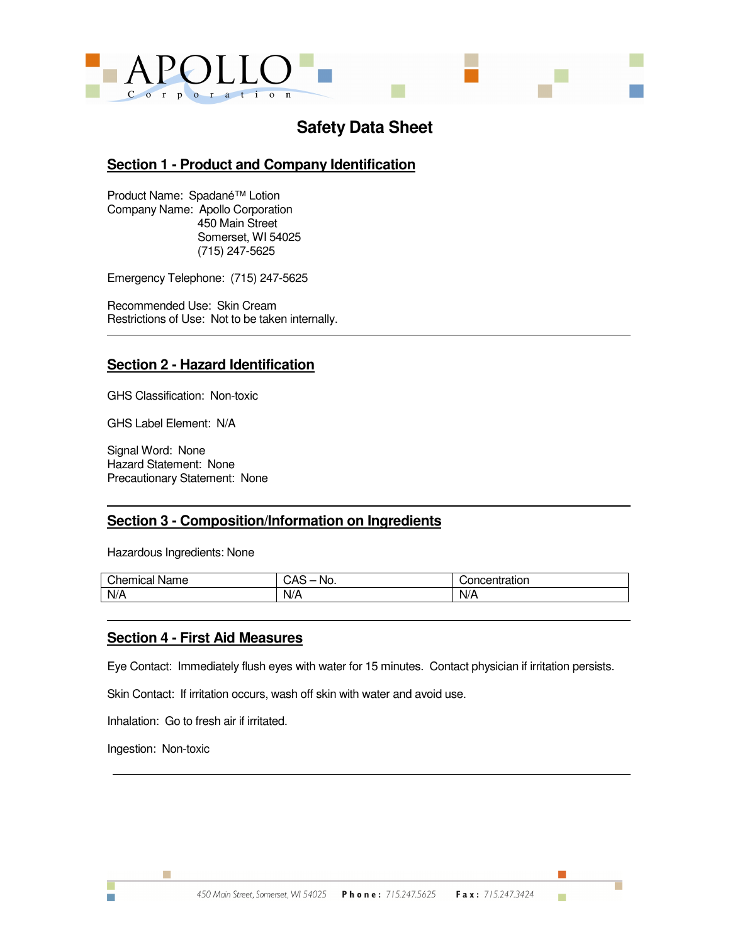

# **Safety Data Sheet**

### **Section 1 - Product and Company Identification**

Product Name: Spadané™ Lotion Company Name: Apollo Corporation 450 Main Street Somerset, WI 54025 (715) 247-5625

Emergency Telephone: (715) 247-5625

Recommended Use: Skin Cream Restrictions of Use: Not to be taken internally.

## **Section 2 - Hazard Identification**

GHS Classification: Non-toxic

GHS Label Element: N/A

Signal Word: None Hazard Statement: None Precautionary Statement: None

#### **Section 3 - Composition/Information on Ingredients**

Hazardous Ingredients: None

| Chemica.<br>Name<br>''''''''''''''' | n<br>'NO.<br>∽س<br>∼ | .<br>ualiui.<br>-   |
|-------------------------------------|----------------------|---------------------|
| N/A                                 | N/A                  | N/A<br>$\mathbf{v}$ |

### **Section 4 - First Aid Measures**

Eye Contact: Immediately flush eyes with water for 15 minutes. Contact physician if irritation persists.

Skin Contact: If irritation occurs, wash off skin with water and avoid use.

Inhalation: Go to fresh air if irritated.

Ingestion: Non-toxic

 $\mathcal{C}^{\mathcal{A}}$ 

m.

г

m.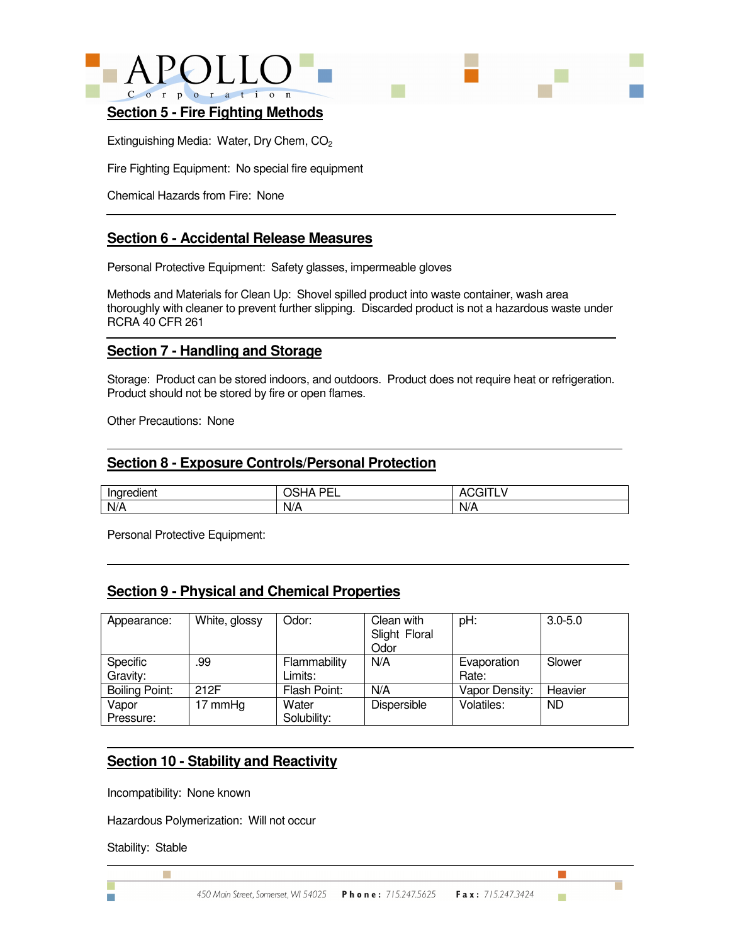



#### **Section 5 - Fire Fighting Methods**

Extinguishing Media: Water, Dry Chem, CO<sub>2</sub>

Fire Fighting Equipment: No special fire equipment

Chemical Hazards from Fire: None

### **Section 6 - Accidental Release Measures**

Personal Protective Equipment: Safety glasses, impermeable gloves

Methods and Materials for Clean Up: Shovel spilled product into waste container, wash area thoroughly with cleaner to prevent further slipping. Discarded product is not a hazardous waste under RCRA 40 CFR 261

#### **Section 7 - Handling and Storage**

Storage: Product can be stored indoors, and outdoors. Product does not require heat or refrigeration. Product should not be stored by fire or open flames.

Other Precautions: None

#### **Section 8 - Exposure Controls/Personal Protection**

| $\sim$<br>Ingredient | . nr:<br>—<br>∼<br>-- | - 1                        |
|----------------------|-----------------------|----------------------------|
| N/A                  | N/A                   | $\mathbf{1}$<br>N/A<br>.,. |

Personal Protective Equipment:

### **Section 9 - Physical and Chemical Properties**

| Appearance:                 | White, glossy | Odor:                   | Clean with<br>Slight Floral<br>Odor | pH:                  | $3.0 - 5.0$ |
|-----------------------------|---------------|-------------------------|-------------------------------------|----------------------|-------------|
| <b>Specific</b><br>Gravity: | .99           | Flammability<br>Limits: | N/A                                 | Evaporation<br>Rate: | Slower      |
| <b>Boiling Point:</b>       | 212F          | Flash Point:            | N/A                                 | Vapor Density:       | Heavier     |
| Vapor<br>Pressure:          | 17 mmHg       | Water<br>Solubility:    | <b>Dispersible</b>                  | Volatiles:           | <b>ND</b>   |

#### **Section 10 - Stability and Reactivity**

Incompatibility: None known

Hazardous Polymerization: Will not occur

Stability: Stable

 $\mathcal{C}^{\mathcal{A}}$ 

 $\mathcal{C}^{\mathcal{A}}$ 

П

m.